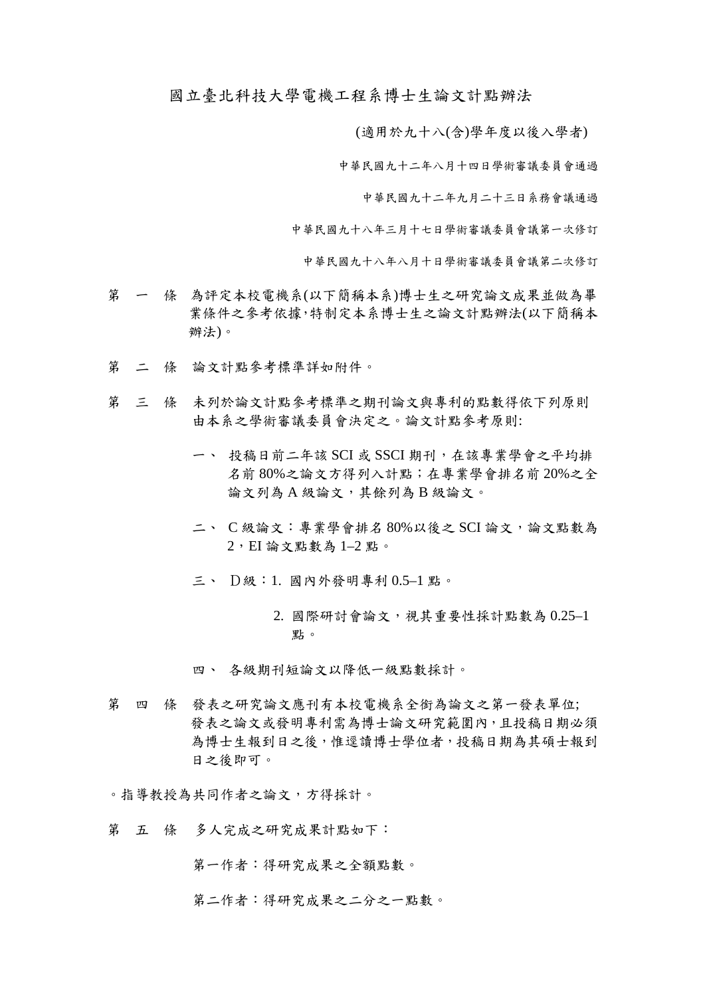國立臺北科技大學電機工程系博士生論文計點辦法

(適用於九十八(含)學年度以後入學者)

中華民國九十二年八月十四日學術審議委員會通過

中華民國九十二年九月二十三日系務會議通過

中華民國九十八年三月十七日學術審議委員會議第一次修訂

中華民國九十八年八月十日學術審議委員會議第二次修訂

- 第 一 條 為評定本校電機系(以下簡稱本系)博士生之研究論文成果並做為畢 業條件之參考依據,特制定本系博士生之論文計點辦法(以下簡稱本 辦法)。
- 第 二 條 論文計點參考標準詳如附件。
- 第 三 條 未列於論文計點參考標準之期刊論文與專利的點數得依下列原則 由本系之學術審議委員會決定之。論文計點參考原則:
	- 一、 投稿日前二年該 SCI 或 SSCI 期刊,在該專業學會之平均排 名前 80%之論文方得列入計點;在專業學會排名前 20%之全 論文列為 A 級論文,其餘列為 B 級論文。
	- 二、 C 級論文:專業學會排名 80%以後之 SCI 論文,論文點數為  $2,$   $E$ I 論文點數為  $1-2$ 點。
	- 三、 D級:1. 國內外發明專利 0.5–1 點。
		- 2. 國際研討會論文,視其重要性採計點數為 0.25–1 點。

四、 各級期刊短論文以降低一級點數採計。

第 四 條 發表之研究論文應刊有本校電機系全銜為論文之第一發表單位; 發表之論文或發明專利需為博士論文研究範圍內,且投稿日期必須 為博士生報到日之後,惟逕讀博士學位者,投稿日期為其碩士報到 日之後即可。

。指導教授為共同作者之論文,方得採計。

第 五 條 多人完成之研究成果計點如下:

第一作者:得研究成果之全額點數。

第二作者:得研究成果之二分之一點數。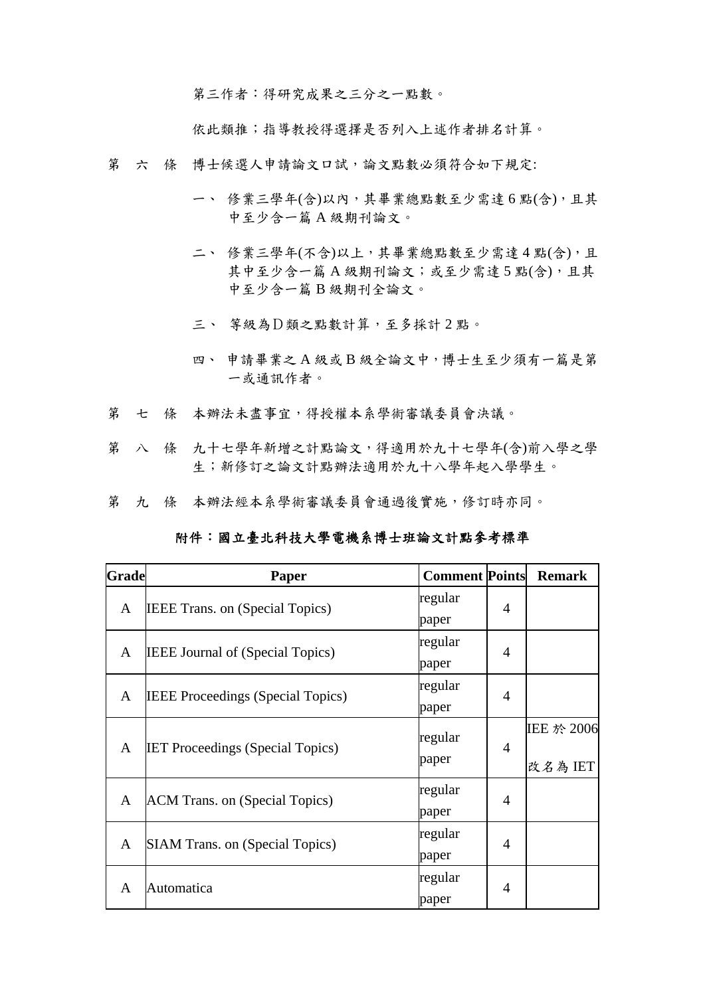第三作者:得研究成果之三分之一點數。

依此類推;指導教授得選擇是否列入上述作者排名計算。

- 第 六 條 博士候選人申請論文口試,論文點數必須符合如下規定:
	- 一、 修業三學年(含)以內,其畢業總點數至少需達 6 點(含),且其 中至少含一篇 A 級期刊論文。
	- 二、 修業三學年(不含)以上,其畢業總點數至少需達4點(含),且 其中至少含一篇 A 級期刊論文;或至少需達 5 點(含),且其 中至少含一篇 B 級期刊全論文。
	- 三、 等級為D類之點數計算,至多採計 2 點。
	- 四、 申請畢業之 A 級或 B 級全論文中,博士生至少須有一篇是第 一或通訊作者。
- 第 七 條 本辦法未盡事宜,得授權本系學術審議委員會決議。
- 第 八 條 九十七學年新增之計點論文,得適用於九十七學年(含)前入學之學 生;新修訂之論文計點辦法適用於九十八學年起入學學生。
- 第 九 條 本辦法經本系學術審議委員會通過後實施,修訂時亦同。

## 附件:國立臺北科技大學電機系博士班論文計點參考標準

| <b>Grade</b> | Paper                                    | <b>Comment Points</b> |                | <b>Remark</b> |
|--------------|------------------------------------------|-----------------------|----------------|---------------|
| A            | <b>IEEE Trans. on (Special Topics)</b>   | regular               | 4              |               |
|              |                                          | paper                 |                |               |
| A            | <b>IEEE Journal of (Special Topics)</b>  | regular               | 4              |               |
|              |                                          | paper                 |                |               |
| A            | <b>IEEE Proceedings (Special Topics)</b> | regular               | 4              |               |
|              |                                          | paper                 |                |               |
| A            | <b>IET Proceedings (Special Topics)</b>  | regular               | $\overline{4}$ | IEE 於 2006    |
|              |                                          |                       |                |               |
|              |                                          | paper                 |                | 改名為IET        |
| A            | ACM Trans. on (Special Topics)           | regular               | $\overline{4}$ |               |
|              |                                          | paper                 |                |               |
| A            | <b>SIAM Trans. on (Special Topics)</b>   | regular               | 4              |               |
|              |                                          | paper                 |                |               |
| A            | Automatica                               | regular               | 4              |               |
|              |                                          | paper                 |                |               |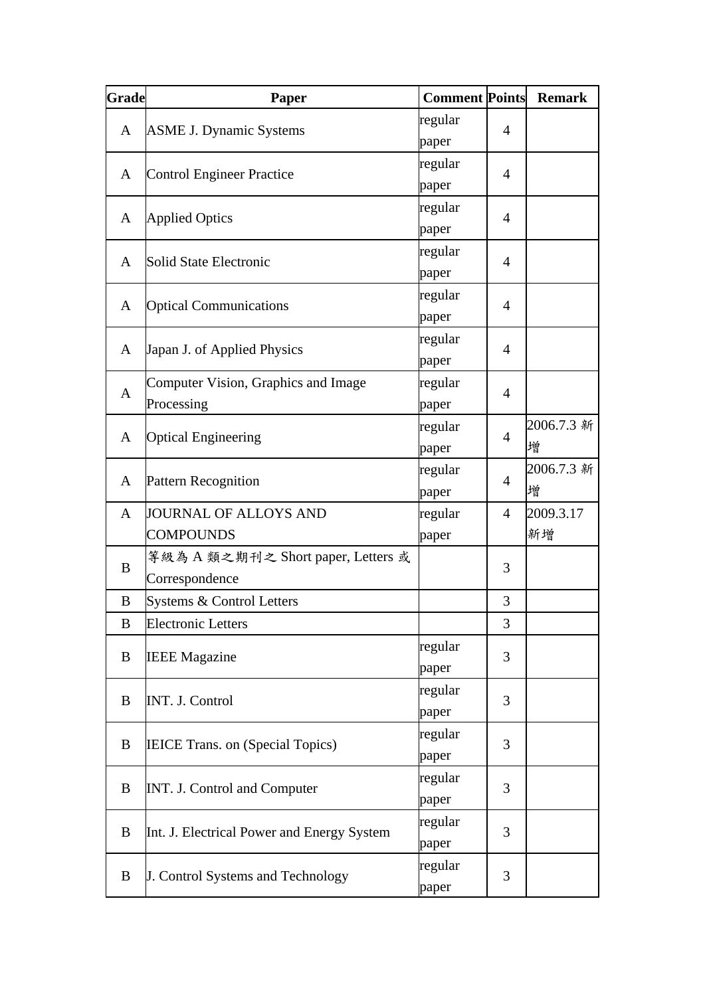| Grade | Paper                                                | <b>Comment Points</b> |                | <b>Remark</b>   |
|-------|------------------------------------------------------|-----------------------|----------------|-----------------|
| A     | <b>ASME J. Dynamic Systems</b>                       | regular<br>paper      | $\overline{A}$ |                 |
| A     | <b>Control Engineer Practice</b>                     | regular<br>paper      | $\overline{4}$ |                 |
| A     | <b>Applied Optics</b>                                | regular<br>paper      | 4              |                 |
| A     | Solid State Electronic                               | regular<br>paper      | $\overline{A}$ |                 |
| A     | <b>Optical Communications</b>                        | regular<br>paper      | $\overline{A}$ |                 |
| A     | Japan J. of Applied Physics                          | regular<br>paper      | $\overline{4}$ |                 |
| A     | Computer Vision, Graphics and Image<br>Processing    | regular<br>paper      | $\overline{4}$ |                 |
| A     | <b>Optical Engineering</b>                           | regular<br>paper      | $\overline{4}$ | 2006.7.3 新<br>增 |
| A     | <b>Pattern Recognition</b>                           | regular<br>paper      | $\overline{4}$ | 2006.7.3 新<br>增 |
| A     | JOURNAL OF ALLOYS AND<br><b>COMPOUNDS</b>            | regular<br>paper      | 4              | 2009.3.17<br>新增 |
| B     | 等級為 A 類之期刊之 Short paper, Letters 或<br>Correspondence |                       | 3              |                 |
| B     | Systems & Control Letters                            |                       | 3              |                 |
| B     | <b>Electronic Letters</b>                            |                       | 3              |                 |
| B     | <b>IEEE Magazine</b>                                 | regular<br>paper      | 3              |                 |
| B     | INT. J. Control                                      | regular<br>paper      | 3              |                 |
| B     | <b>IEICE Trans. on (Special Topics)</b>              | regular<br>paper      | 3              |                 |
| B     | <b>INT. J. Control and Computer</b>                  | regular<br>paper      | 3              |                 |
| B     | Int. J. Electrical Power and Energy System           | regular<br>paper      | 3              |                 |
| B     | J. Control Systems and Technology                    | regular<br>paper      | 3              |                 |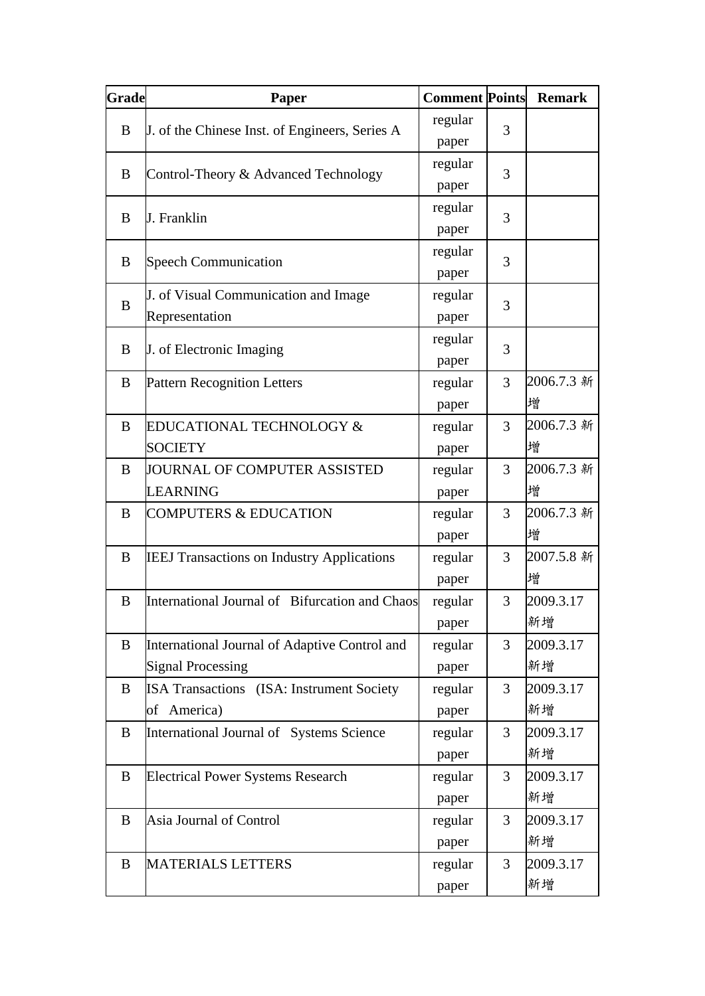| Grade | Paper                                                                     | <b>Comment Points</b> |                | <b>Remark</b>   |
|-------|---------------------------------------------------------------------------|-----------------------|----------------|-----------------|
| B     | J. of the Chinese Inst. of Engineers, Series A                            | regular<br>paper      | 3              |                 |
| B     | Control-Theory & Advanced Technology                                      | regular<br>paper      | 3              |                 |
| B     | J. Franklin                                                               | regular<br>paper      | 3              |                 |
| B     | <b>Speech Communication</b>                                               | regular<br>paper      | 3              |                 |
| B     | J. of Visual Communication and Image<br>Representation                    | regular<br>paper      | 3              |                 |
| B     | J. of Electronic Imaging                                                  | regular<br>paper      | 3              |                 |
| B     | <b>Pattern Recognition Letters</b>                                        | regular<br>paper      | 3              | 2006.7.3 新<br>增 |
| B     | EDUCATIONAL TECHNOLOGY &<br><b>SOCIETY</b>                                | regular<br>paper      | 3              | 2006.7.3 新<br>增 |
| B     | JOURNAL OF COMPUTER ASSISTED<br><b>LEARNING</b>                           | regular<br>paper      | 3              | 2006.7.3 新<br>增 |
| B     | <b>COMPUTERS &amp; EDUCATION</b>                                          | regular<br>paper      | 3              | 2006.7.3 新<br>增 |
| B     | <b>IEEJ Transactions on Industry Applications</b>                         | regular<br>paper      | 3              | 2007.5.8 新<br>增 |
| B     | International Journal of Bifurcation and Chaos                            | regular<br>paper      | 3              | 2009.3.17<br>新增 |
| B     | International Journal of Adaptive Control and<br><b>Signal Processing</b> | regular<br>paper      | 3              | 2009.3.17<br>新增 |
| B     | <b>ISA Transactions</b> (ISA: Instrument Society<br>of America)           | regular<br>paper      | 3              | 2009.3.17<br>新增 |
| B     | International Journal of Systems Science                                  | regular<br>paper      | $\overline{3}$ | 2009.3.17<br>新增 |
| B     | <b>Electrical Power Systems Research</b>                                  | regular<br>paper      | 3              | 2009.3.17<br>新增 |
| B     | Asia Journal of Control                                                   | regular<br>paper      | 3              | 2009.3.17<br>新增 |
| B     | <b>MATERIALS LETTERS</b>                                                  | regular<br>paper      | 3              | 2009.3.17<br>新增 |